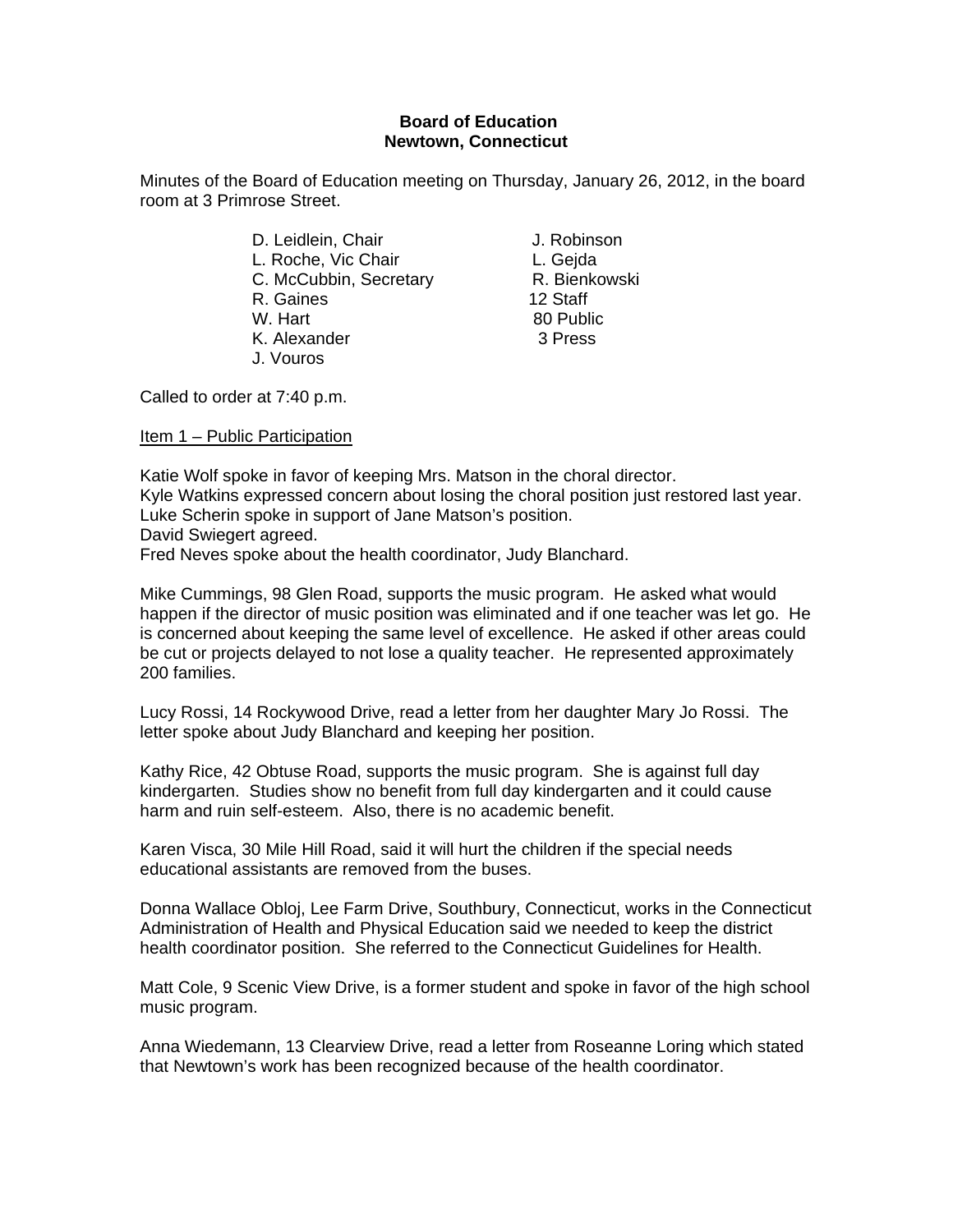## **Board of Education Newtown, Connecticut**

Minutes of the Board of Education meeting on Thursday, January 26, 2012, in the board room at 3 Primrose Street.

- D. Leidlein, Chair **J. Robinson** L. Roche, Vic Chair **L. Geida** C. McCubbin, Secretary R. Bienkowski R. Gaines 12 Staff W. Hart 80 Public K. Alexander 3 Press J. Vouros
- 

Called to order at 7:40 p.m.

Item 1 – Public Participation

Katie Wolf spoke in favor of keeping Mrs. Matson in the choral director. Kyle Watkins expressed concern about losing the choral position just restored last year. Luke Scherin spoke in support of Jane Matson's position. David Swiegert agreed. Fred Neves spoke about the health coordinator, Judy Blanchard.

Mike Cummings, 98 Glen Road, supports the music program. He asked what would happen if the director of music position was eliminated and if one teacher was let go. He is concerned about keeping the same level of excellence. He asked if other areas could be cut or projects delayed to not lose a quality teacher. He represented approximately 200 families.

Lucy Rossi, 14 Rockywood Drive, read a letter from her daughter Mary Jo Rossi. The letter spoke about Judy Blanchard and keeping her position.

Kathy Rice, 42 Obtuse Road, supports the music program. She is against full day kindergarten. Studies show no benefit from full day kindergarten and it could cause harm and ruin self-esteem. Also, there is no academic benefit.

Karen Visca, 30 Mile Hill Road, said it will hurt the children if the special needs educational assistants are removed from the buses.

Donna Wallace Obloj, Lee Farm Drive, Southbury, Connecticut, works in the Connecticut Administration of Health and Physical Education said we needed to keep the district health coordinator position. She referred to the Connecticut Guidelines for Health.

Matt Cole, 9 Scenic View Drive, is a former student and spoke in favor of the high school music program.

Anna Wiedemann, 13 Clearview Drive, read a letter from Roseanne Loring which stated that Newtown's work has been recognized because of the health coordinator.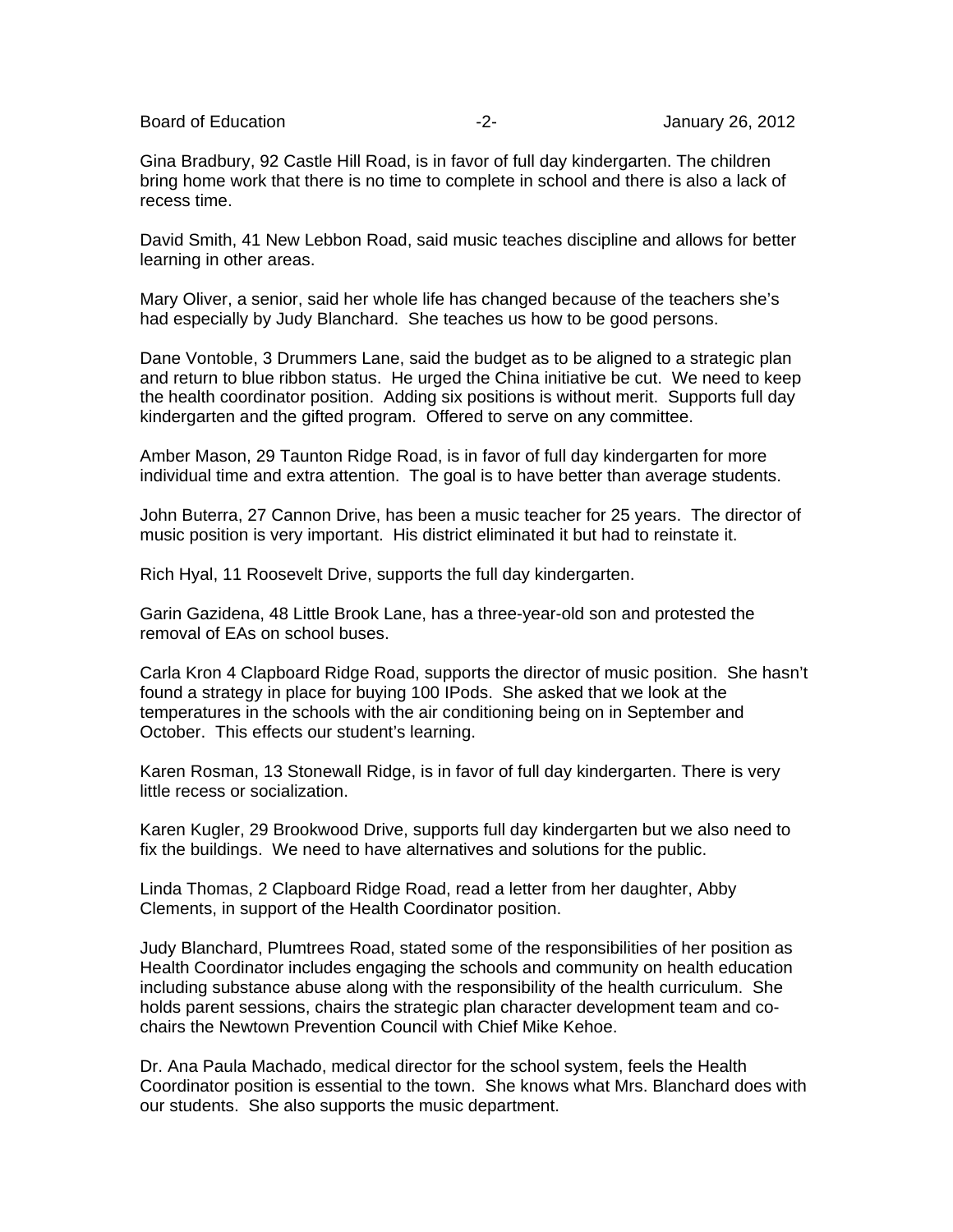Board of Education **-2-** Figure 26, 2012

Gina Bradbury, 92 Castle Hill Road, is in favor of full day kindergarten. The children bring home work that there is no time to complete in school and there is also a lack of recess time.

David Smith, 41 New Lebbon Road, said music teaches discipline and allows for better learning in other areas.

Mary Oliver, a senior, said her whole life has changed because of the teachers she's had especially by Judy Blanchard. She teaches us how to be good persons.

Dane Vontoble, 3 Drummers Lane, said the budget as to be aligned to a strategic plan and return to blue ribbon status. He urged the China initiative be cut. We need to keep the health coordinator position. Adding six positions is without merit. Supports full day kindergarten and the gifted program. Offered to serve on any committee.

Amber Mason, 29 Taunton Ridge Road, is in favor of full day kindergarten for more individual time and extra attention. The goal is to have better than average students.

John Buterra, 27 Cannon Drive, has been a music teacher for 25 years. The director of music position is very important. His district eliminated it but had to reinstate it.

Rich Hyal, 11 Roosevelt Drive, supports the full day kindergarten.

Garin Gazidena, 48 Little Brook Lane, has a three-year-old son and protested the removal of EAs on school buses.

Carla Kron 4 Clapboard Ridge Road, supports the director of music position. She hasn't found a strategy in place for buying 100 IPods. She asked that we look at the temperatures in the schools with the air conditioning being on in September and October. This effects our student's learning.

Karen Rosman, 13 Stonewall Ridge, is in favor of full day kindergarten. There is very little recess or socialization.

Karen Kugler, 29 Brookwood Drive, supports full day kindergarten but we also need to fix the buildings. We need to have alternatives and solutions for the public.

Linda Thomas, 2 Clapboard Ridge Road, read a letter from her daughter, Abby Clements, in support of the Health Coordinator position.

Judy Blanchard, Plumtrees Road, stated some of the responsibilities of her position as Health Coordinator includes engaging the schools and community on health education including substance abuse along with the responsibility of the health curriculum. She holds parent sessions, chairs the strategic plan character development team and cochairs the Newtown Prevention Council with Chief Mike Kehoe.

Dr. Ana Paula Machado, medical director for the school system, feels the Health Coordinator position is essential to the town. She knows what Mrs. Blanchard does with our students. She also supports the music department.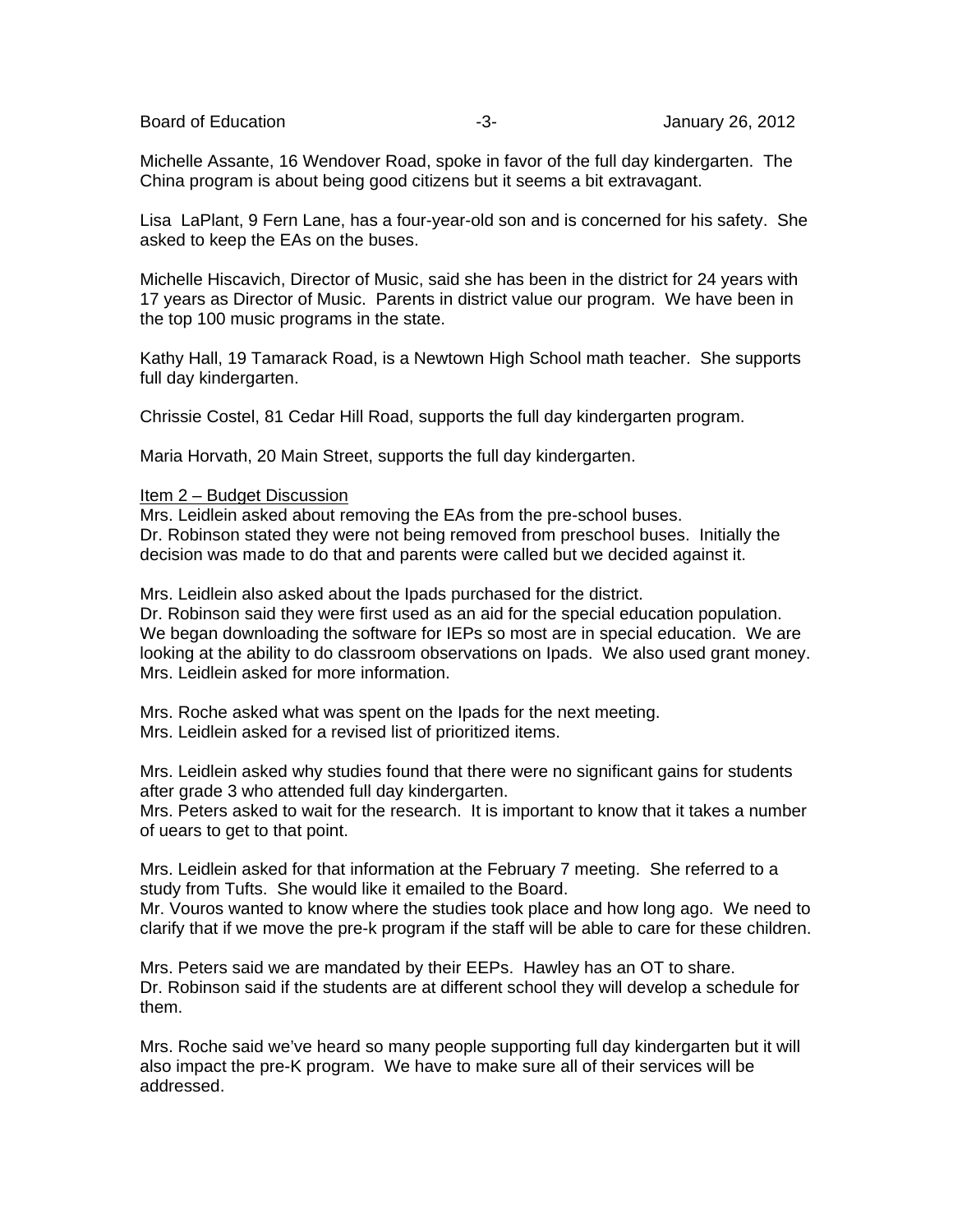Board of Education **Contract Contract Contract Contract Contract Contract Contract Contract Contract Contract Contract Contract Contract Contract Contract Contract Contract Contract Contract Contract Contract Contract Cont** 

Michelle Assante, 16 Wendover Road, spoke in favor of the full day kindergarten. The China program is about being good citizens but it seems a bit extravagant.

Lisa LaPlant, 9 Fern Lane, has a four-year-old son and is concerned for his safety. She asked to keep the EAs on the buses.

Michelle Hiscavich, Director of Music, said she has been in the district for 24 years with 17 years as Director of Music. Parents in district value our program. We have been in the top 100 music programs in the state.

Kathy Hall, 19 Tamarack Road, is a Newtown High School math teacher. She supports full day kindergarten.

Chrissie Costel, 81 Cedar Hill Road, supports the full day kindergarten program.

Maria Horvath, 20 Main Street, supports the full day kindergarten.

## Item 2 – Budget Discussion

Mrs. Leidlein asked about removing the EAs from the pre-school buses. Dr. Robinson stated they were not being removed from preschool buses. Initially the decision was made to do that and parents were called but we decided against it.

Mrs. Leidlein also asked about the Ipads purchased for the district.

Dr. Robinson said they were first used as an aid for the special education population. We began downloading the software for IEPs so most are in special education. We are looking at the ability to do classroom observations on Ipads. We also used grant money. Mrs. Leidlein asked for more information.

Mrs. Roche asked what was spent on the Ipads for the next meeting. Mrs. Leidlein asked for a revised list of prioritized items.

Mrs. Leidlein asked why studies found that there were no significant gains for students after grade 3 who attended full day kindergarten.

Mrs. Peters asked to wait for the research. It is important to know that it takes a number of uears to get to that point.

Mrs. Leidlein asked for that information at the February 7 meeting. She referred to a study from Tufts. She would like it emailed to the Board.

Mr. Vouros wanted to know where the studies took place and how long ago. We need to clarify that if we move the pre-k program if the staff will be able to care for these children.

Mrs. Peters said we are mandated by their EEPs. Hawley has an OT to share. Dr. Robinson said if the students are at different school they will develop a schedule for them.

Mrs. Roche said we've heard so many people supporting full day kindergarten but it will also impact the pre-K program. We have to make sure all of their services will be addressed.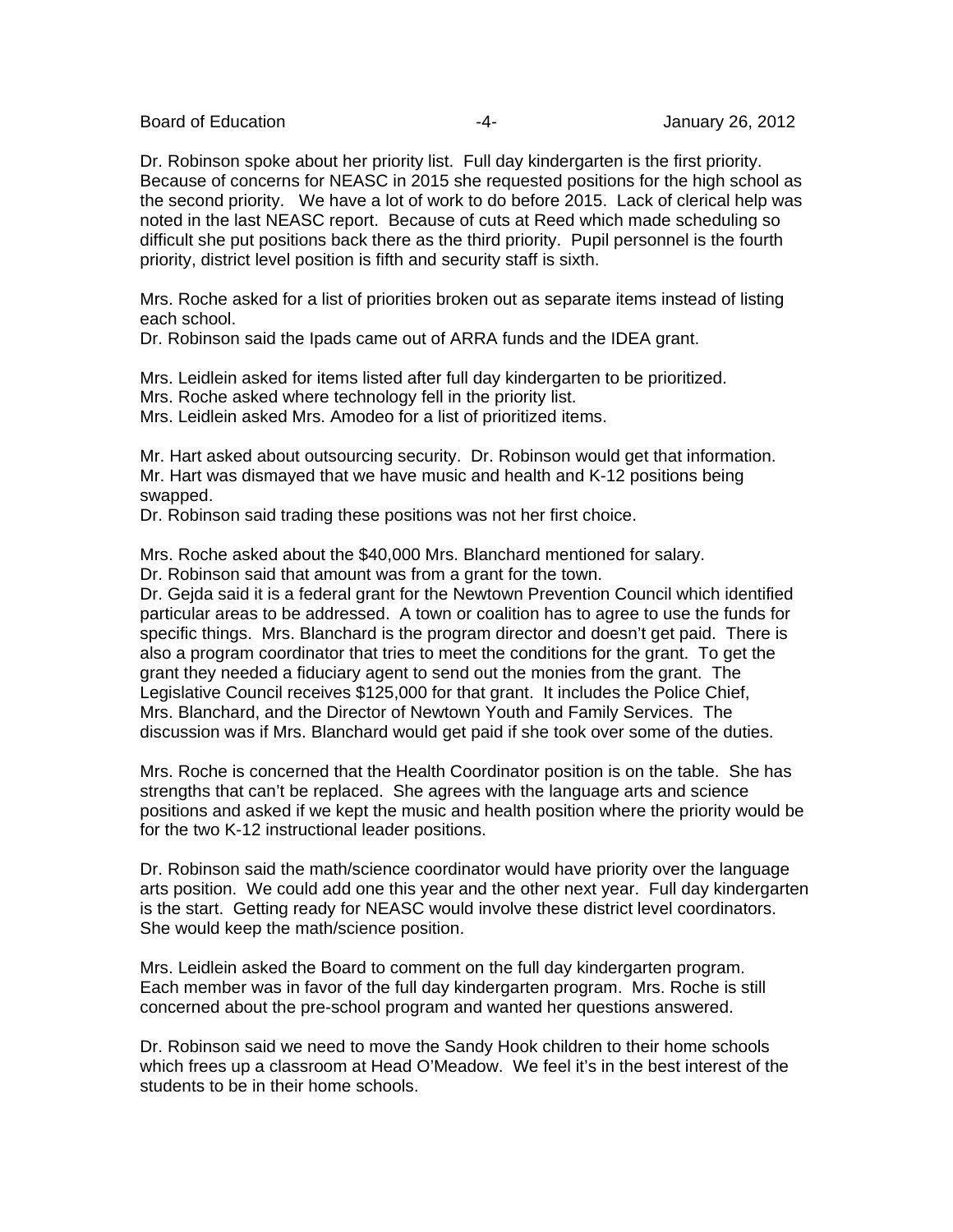Board of Education **-4-** Figure 26, 2012

Dr. Robinson spoke about her priority list. Full day kindergarten is the first priority. Because of concerns for NEASC in 2015 she requested positions for the high school as the second priority. We have a lot of work to do before 2015. Lack of clerical help was noted in the last NEASC report. Because of cuts at Reed which made scheduling so difficult she put positions back there as the third priority. Pupil personnel is the fourth priority, district level position is fifth and security staff is sixth.

Mrs. Roche asked for a list of priorities broken out as separate items instead of listing each school.

Dr. Robinson said the Ipads came out of ARRA funds and the IDEA grant.

Mrs. Leidlein asked for items listed after full day kindergarten to be prioritized. Mrs. Roche asked where technology fell in the priority list. Mrs. Leidlein asked Mrs. Amodeo for a list of prioritized items.

Mr. Hart asked about outsourcing security. Dr. Robinson would get that information. Mr. Hart was dismayed that we have music and health and K-12 positions being swapped.

Dr. Robinson said trading these positions was not her first choice.

Mrs. Roche asked about the \$40,000 Mrs. Blanchard mentioned for salary.

Dr. Robinson said that amount was from a grant for the town.

Dr. Gejda said it is a federal grant for the Newtown Prevention Council which identified particular areas to be addressed. A town or coalition has to agree to use the funds for specific things. Mrs. Blanchard is the program director and doesn't get paid. There is also a program coordinator that tries to meet the conditions for the grant. To get the grant they needed a fiduciary agent to send out the monies from the grant. The Legislative Council receives \$125,000 for that grant. It includes the Police Chief, Mrs. Blanchard, and the Director of Newtown Youth and Family Services. The discussion was if Mrs. Blanchard would get paid if she took over some of the duties.

Mrs. Roche is concerned that the Health Coordinator position is on the table. She has strengths that can't be replaced. She agrees with the language arts and science positions and asked if we kept the music and health position where the priority would be for the two K-12 instructional leader positions.

Dr. Robinson said the math/science coordinator would have priority over the language arts position. We could add one this year and the other next year. Full day kindergarten is the start. Getting ready for NEASC would involve these district level coordinators. She would keep the math/science position.

Mrs. Leidlein asked the Board to comment on the full day kindergarten program. Each member was in favor of the full day kindergarten program. Mrs. Roche is still concerned about the pre-school program and wanted her questions answered.

Dr. Robinson said we need to move the Sandy Hook children to their home schools which frees up a classroom at Head O'Meadow. We feel it's in the best interest of the students to be in their home schools.